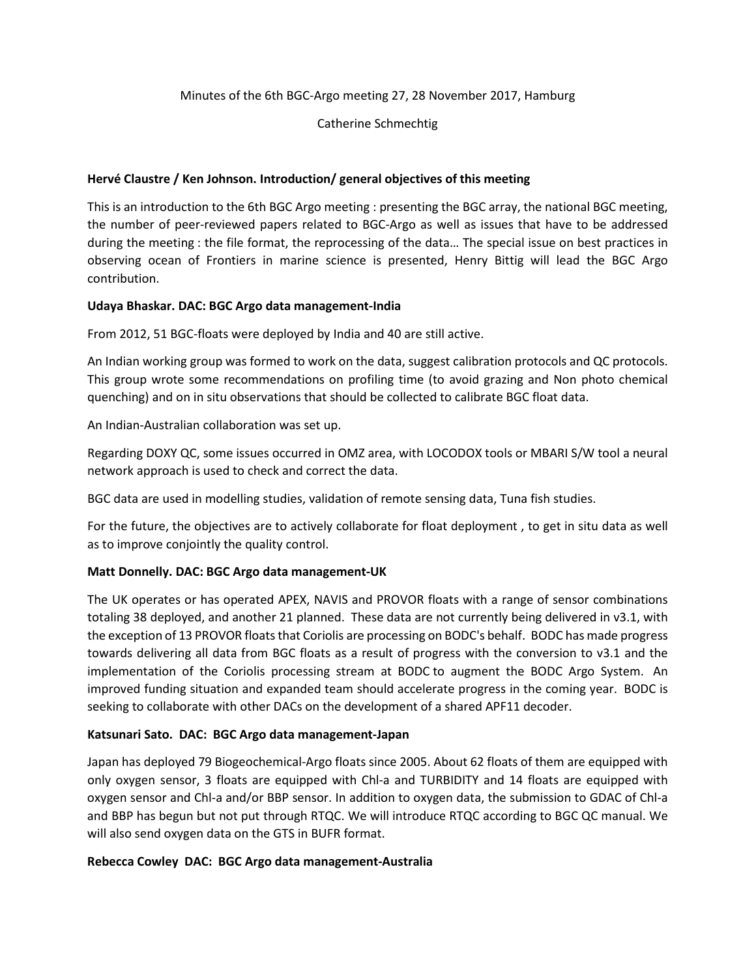# Minutes of the 6th BGC-Argo meeting 27, 28 November 2017, Hamburg

### Catherine Schmechtig

## **Hervé Claustre / Ken Johnson. Introduction/ general objectives of this meeting**

This is an introduction to the 6th BGC Argo meeting : presenting the BGC array, the national BGC meeting, the number of peer-reviewed papers related to BGC-Argo as well as issues that have to be addressed during the meeting : the file format, the reprocessing of the data… The special issue on best practices in observing ocean of Frontiers in marine science is presented, Henry Bittig will lead the BGC Argo contribution.

### **Udaya Bhaskar. DAC: BGC Argo data management-India**

From 2012, 51 BGC-floats were deployed by India and 40 are still active.

An Indian working group was formed to work on the data, suggest calibration protocols and QC protocols. This group wrote some recommendations on profiling time (to avoid grazing and Non photo chemical quenching) and on in situ observations that should be collected to calibrate BGC float data.

An Indian-Australian collaboration was set up.

Regarding DOXY QC, some issues occurred in OMZ area, with LOCODOX tools or MBARI S/W tool a neural network approach is used to check and correct the data.

BGC data are used in modelling studies, validation of remote sensing data, Tuna fish studies.

For the future, the objectives are to actively collaborate for float deployment , to get in situ data as well as to improve conjointly the quality control.

### **Matt Donnelly. DAC: BGC Argo data management-UK**

The UK operates or has operated APEX, NAVIS and PROVOR floats with a range of sensor combinations totaling 38 deployed, and another 21 planned. These data are not currently being delivered in v3.1, with the exception of 13 PROVOR floats that Coriolis are processing on BODC's behalf. BODC has made progress towards delivering all data from BGC floats as a result of progress with the conversion to v3.1 and the implementation of the Coriolis processing stream at BODC to augment the BODC Argo System. An improved funding situation and expanded team should accelerate progress in the coming year. BODC is seeking to collaborate with other DACs on the development of a shared APF11 decoder.

### **Katsunari Sato. DAC: BGC Argo data management-Japan**

Japan has deployed 79 Biogeochemical-Argo floats since 2005. About 62 floats of them are equipped with only oxygen sensor, 3 floats are equipped with Chl-a and TURBIDITY and 14 floats are equipped with oxygen sensor and Chl-a and/or BBP sensor. In addition to oxygen data, the submission to GDAC of Chl-a and BBP has begun but not put through RTQC. We will introduce RTQC according to BGC QC manual. We will also send oxygen data on the GTS in BUFR format.

### **Rebecca Cowley DAC: BGC Argo data management-Australia**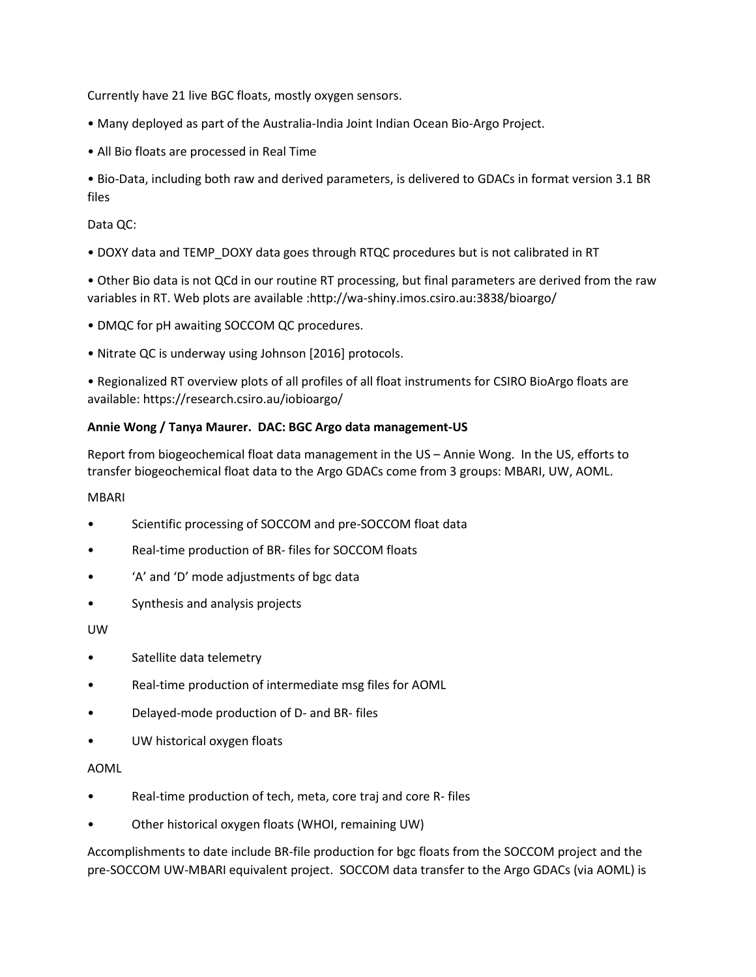Currently have 21 live BGC floats, mostly oxygen sensors.

- Many deployed as part of the Australia-India Joint Indian Ocean Bio-Argo Project.
- All Bio floats are processed in Real Time

• Bio-Data, including both raw and derived parameters, is delivered to GDACs in format version 3.1 BR files

## Data QC:

• DOXY data and TEMP\_DOXY data goes through RTQC procedures but is not calibrated in RT

• Other Bio data is not QCd in our routine RT processing, but final parameters are derived from the raw variables in RT. Web plots are available :http://wa-shiny.imos.csiro.au:3838/bioargo/

- DMQC for pH awaiting SOCCOM QC procedures.
- Nitrate QC is underway using Johnson [2016] protocols.

• Regionalized RT overview plots of all profiles of all float instruments for CSIRO BioArgo floats are available: https://research.csiro.au/iobioargo/

# **Annie Wong / Tanya Maurer. DAC: BGC Argo data management-US**

Report from biogeochemical float data management in the US – Annie Wong. In the US, efforts to transfer biogeochemical float data to the Argo GDACs come from 3 groups: MBARI, UW, AOML.

### MBARI

- Scientific processing of SOCCOM and pre-SOCCOM float data
- Real-time production of BR- files for SOCCOM floats
- 'A' and 'D' mode adjustments of bgc data
- Synthesis and analysis projects

### UW

- Satellite data telemetry
- Real-time production of intermediate msg files for AOML
- Delayed-mode production of D- and BR- files
- UW historical oxygen floats

### AOML

- Real-time production of tech, meta, core traj and core R- files
- Other historical oxygen floats (WHOI, remaining UW)

Accomplishments to date include BR-file production for bgc floats from the SOCCOM project and the pre-SOCCOM UW-MBARI equivalent project. SOCCOM data transfer to the Argo GDACs (via AOML) is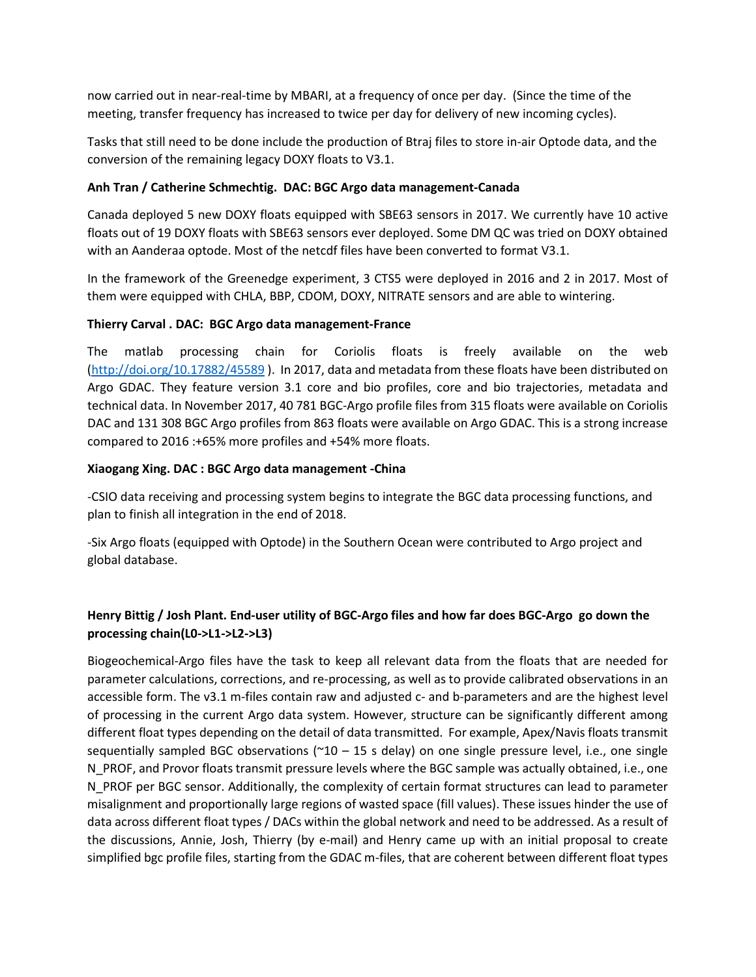now carried out in near-real-time by MBARI, at a frequency of once per day. (Since the time of the meeting, transfer frequency has increased to twice per day for delivery of new incoming cycles).

Tasks that still need to be done include the production of Btraj files to store in-air Optode data, and the conversion of the remaining legacy DOXY floats to V3.1.

# **Anh Tran / Catherine Schmechtig. DAC: BGC Argo data management-Canada**

Canada deployed 5 new DOXY floats equipped with SBE63 sensors in 2017. We currently have 10 active floats out of 19 DOXY floats with SBE63 sensors ever deployed. Some DM QC was tried on DOXY obtained with an Aanderaa optode. Most of the netcdf files have been converted to format V3.1.

In the framework of the Greenedge experiment, 3 CTS5 were deployed in 2016 and 2 in 2017. Most of them were equipped with CHLA, BBP, CDOM, DOXY, NITRATE sensors and are able to wintering.

# **Thierry Carval . DAC: BGC Argo data management-France**

The matlab processing chain for Coriolis floats is freely available on the web [\(http://doi.org/10.17882/45589](http://doi.org/10.17882/45589) ). In 2017, data and metadata from these floats have been distributed on Argo GDAC. They feature version 3.1 core and bio profiles, core and bio trajectories, metadata and technical data. In November 2017, 40 781 BGC-Argo profile files from 315 floats were available on Coriolis DAC and 131 308 BGC Argo profiles from 863 floats were available on Argo GDAC. This is a strong increase compared to 2016 :+65% more profiles and +54% more floats.

# **Xiaogang Xing. DAC : BGC Argo data management -China**

-CSIO data receiving and processing system begins to integrate the BGC data processing functions, and plan to finish all integration in the end of 2018.

-Six Argo floats (equipped with Optode) in the Southern Ocean were contributed to Argo project and global database.

# **Henry Bittig / Josh Plant. End-user utility of BGC-Argo files and how far does BGC-Argo go down the processing chain(L0->L1->L2->L3)**

Biogeochemical-Argo files have the task to keep all relevant data from the floats that are needed for parameter calculations, corrections, and re-processing, as well as to provide calibrated observations in an accessible form. The v3.1 m-files contain raw and adjusted c- and b-parameters and are the highest level of processing in the current Argo data system. However, structure can be significantly different among different float types depending on the detail of data transmitted. For example, Apex/Navis floats transmit sequentially sampled BGC observations ( $\gamma$ 10 – 15 s delay) on one single pressure level, i.e., one single N PROF, and Provor floats transmit pressure levels where the BGC sample was actually obtained, i.e., one N\_PROF per BGC sensor. Additionally, the complexity of certain format structures can lead to parameter misalignment and proportionally large regions of wasted space (fill values). These issues hinder the use of data across different float types / DACs within the global network and need to be addressed. As a result of the discussions, Annie, Josh, Thierry (by e-mail) and Henry came up with an initial proposal to create simplified bgc profile files, starting from the GDAC m-files, that are coherent between different float types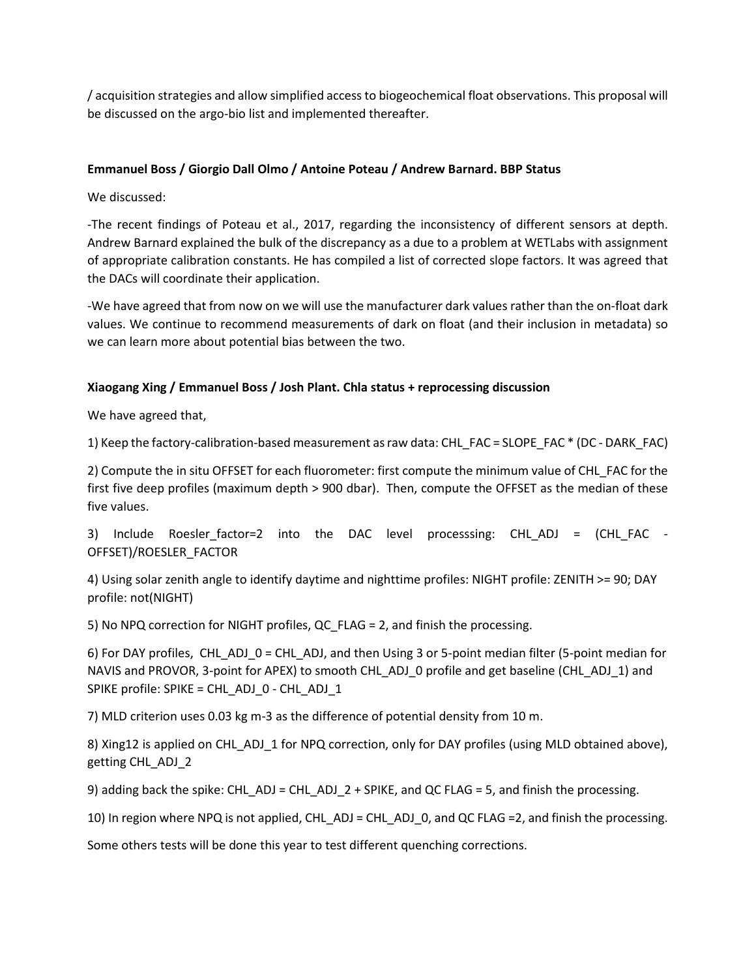/ acquisition strategies and allow simplified access to biogeochemical float observations. This proposal will be discussed on the argo-bio list and implemented thereafter.

# **Emmanuel Boss / Giorgio Dall Olmo / Antoine Poteau / Andrew Barnard. BBP Status**

We discussed:

-The recent findings of Poteau et al., 2017, regarding the inconsistency of different sensors at depth. Andrew Barnard explained the bulk of the discrepancy as a due to a problem at WETLabs with assignment of appropriate calibration constants. He has compiled a list of corrected slope factors. It was agreed that the DACs will coordinate their application.

-We have agreed that from now on we will use the manufacturer dark values rather than the on-float dark values. We continue to recommend measurements of dark on float (and their inclusion in metadata) so we can learn more about potential bias between the two.

# **Xiaogang Xing / Emmanuel Boss / Josh Plant. Chla status + reprocessing discussion**

We have agreed that,

1) Keep the factory-calibration-based measurement as raw data: CHL\_FAC = SLOPE\_FAC \* (DC - DARK\_FAC)

2) Compute the in situ OFFSET for each fluorometer: first compute the minimum value of CHL\_FAC for the first five deep profiles (maximum depth > 900 dbar). Then, compute the OFFSET as the median of these five values.

3) Include Roesler\_factor=2 into the DAC level processsing: CHL\_ADJ = (CHL\_FAC - OFFSET)/ROESLER\_FACTOR

4) Using solar zenith angle to identify daytime and nighttime profiles: NIGHT profile: ZENITH >= 90; DAY profile: not(NIGHT)

5) No NPQ correction for NIGHT profiles, QC\_FLAG = 2, and finish the processing.

6) For DAY profiles, CHL ADJ  $0 = CHL$  ADJ, and then Using 3 or 5-point median filter (5-point median for NAVIS and PROVOR, 3-point for APEX) to smooth CHL\_ADJ\_0 profile and get baseline (CHL\_ADJ\_1) and SPIKE profile: SPIKE = CHL\_ADJ\_0 - CHL\_ADJ\_1

7) MLD criterion uses 0.03 kg m-3 as the difference of potential density from 10 m.

8) Xing12 is applied on CHL\_ADJ\_1 for NPQ correction, only for DAY profiles (using MLD obtained above), getting CHL\_ADJ\_2

9) adding back the spike: CHL\_ADJ = CHL\_ADJ\_2 + SPIKE, and QC FLAG = 5, and finish the processing.

10) In region where NPQ is not applied, CHL\_ADJ = CHL\_ADJ\_0, and QC FLAG =2, and finish the processing.

Some others tests will be done this year to test different quenching corrections.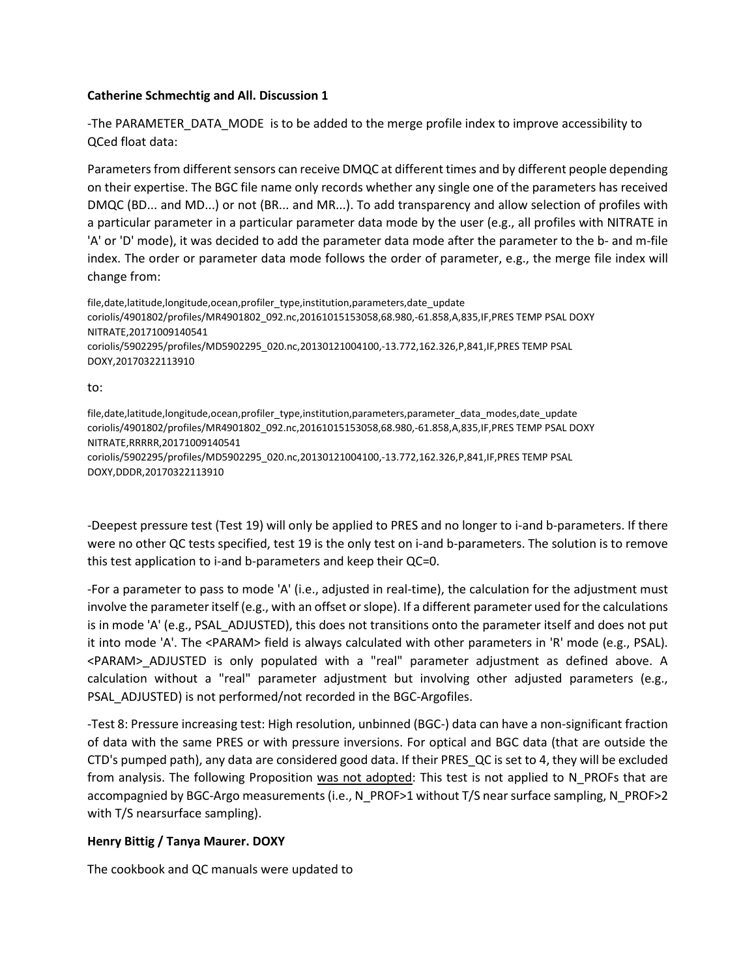### **Catherine Schmechtig and All. Discussion 1**

-The PARAMETER\_DATA\_MODE is to be added to the merge profile index to improve accessibility to QCed float data:

Parameters from different sensors can receive DMQC at different times and by different people depending on their expertise. The BGC file name only records whether any single one of the parameters has received DMQC (BD... and MD...) or not (BR... and MR...). To add transparency and allow selection of profiles with a particular parameter in a particular parameter data mode by the user (e.g., all profiles with NITRATE in 'A' or 'D' mode), it was decided to add the parameter data mode after the parameter to the b- and m-file index. The order or parameter data mode follows the order of parameter, e.g., the merge file index will change from:

file,date,latitude,longitude,ocean,profiler\_type,institution,parameters,date\_update coriolis/4901802/profiles/MR4901802\_092.nc,20161015153058,68.980,-61.858,A,835,IF,PRES TEMP PSAL DOXY NITRATE,20171009140541 coriolis/5902295/profiles/MD5902295\_020.nc,20130121004100,-13.772,162.326,P,841,IF,PRES TEMP PSAL DOXY,20170322113910

#### to:

file,date,latitude,longitude,ocean,profiler\_type,institution,parameters,parameter\_data\_modes,date\_update coriolis/4901802/profiles/MR4901802\_092.nc,20161015153058,68.980,-61.858,A,835,IF,PRES TEMP PSAL DOXY NITRATE,RRRRR,20171009140541 coriolis/5902295/profiles/MD5902295\_020.nc,20130121004100,-13.772,162.326,P,841,IF,PRES TEMP PSAL DOXY,DDDR,20170322113910

-Deepest pressure test (Test 19) will only be applied to PRES and no longer to i-and b-parameters. If there were no other QC tests specified, test 19 is the only test on i-and b-parameters. The solution is to remove this test application to i-and b-parameters and keep their QC=0.

-For a parameter to pass to mode 'A' (i.e., adjusted in real-time), the calculation for the adjustment must involve the parameter itself (e.g., with an offset or slope). If a different parameter used for the calculations is in mode 'A' (e.g., PSAL\_ADJUSTED), this does not transitions onto the parameter itself and does not put it into mode 'A'. The <PARAM> field is always calculated with other parameters in 'R' mode (e.g., PSAL). <PARAM>\_ADJUSTED is only populated with a "real" parameter adjustment as defined above. A calculation without a "real" parameter adjustment but involving other adjusted parameters (e.g., PSAL\_ADJUSTED) is not performed/not recorded in the BGC-Argofiles.

-Test 8: Pressure increasing test: High resolution, unbinned (BGC-) data can have a non-significant fraction of data with the same PRES or with pressure inversions. For optical and BGC data (that are outside the CTD's pumped path), any data are considered good data. If their PRES\_QC is set to 4, they will be excluded from analysis. The following Proposition was not adopted: This test is not applied to N\_PROFs that are accompagnied by BGC-Argo measurements (i.e., N\_PROF>1 without T/S near surface sampling, N\_PROF>2 with T/S nearsurface sampling).

### **Henry Bittig / Tanya Maurer. DOXY**

The cookbook and QC manuals were updated to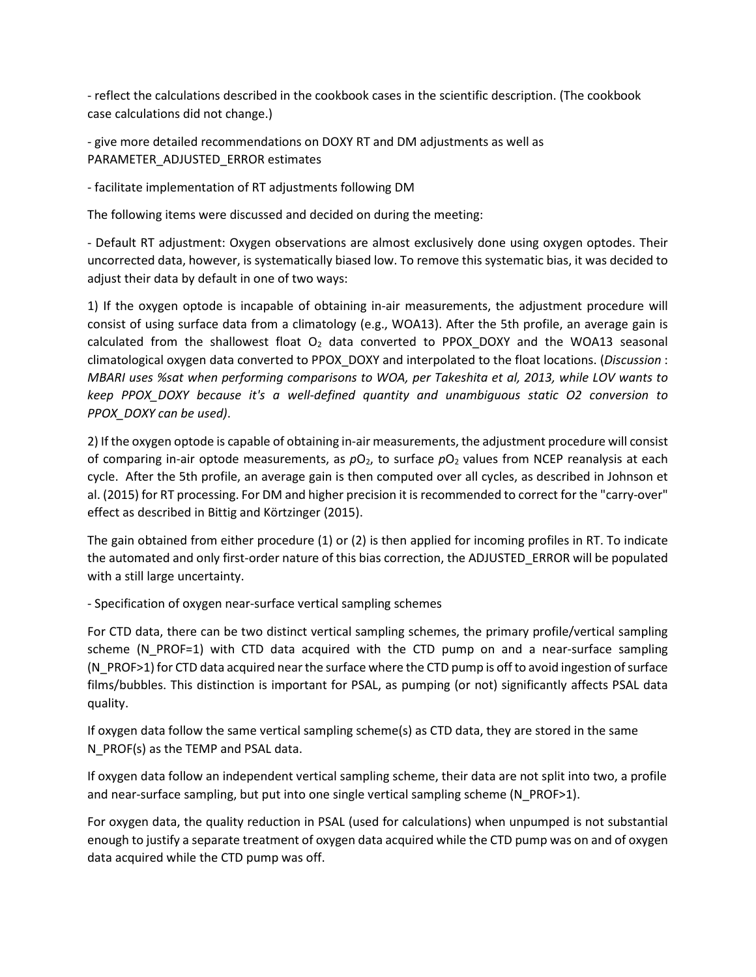- reflect the calculations described in the cookbook cases in the scientific description. (The cookbook case calculations did not change.)

- give more detailed recommendations on DOXY RT and DM adjustments as well as PARAMETER\_ADJUSTED\_ERROR estimates

- facilitate implementation of RT adjustments following DM

The following items were discussed and decided on during the meeting:

- Default RT adjustment: Oxygen observations are almost exclusively done using oxygen optodes. Their uncorrected data, however, is systematically biased low. To remove this systematic bias, it was decided to adjust their data by default in one of two ways:

1) If the oxygen optode is incapable of obtaining in-air measurements, the adjustment procedure will consist of using surface data from a climatology (e.g., WOA13). After the 5th profile, an average gain is calculated from the shallowest float  $O<sub>2</sub>$  data converted to PPOX\_DOXY and the WOA13 seasonal climatological oxygen data converted to PPOX\_DOXY and interpolated to the float locations. (*Discussion* : *MBARI uses %sat when performing comparisons to WOA, per Takeshita et al, 2013, while LOV wants to keep PPOX\_DOXY because it's a well-defined quantity and unambiguous static O2 conversion to PPOX\_DOXY can be used)*.

2) If the oxygen optode is capable of obtaining in-air measurements, the adjustment procedure will consist of comparing in-air optode measurements, as  $pO_2$ , to surface  $pO_2$  values from NCEP reanalysis at each cycle. After the 5th profile, an average gain is then computed over all cycles, as described in Johnson et al. (2015) for RT processing. For DM and higher precision it is recommended to correct for the "carry-over" effect as described in Bittig and Körtzinger (2015).

The gain obtained from either procedure (1) or (2) is then applied for incoming profiles in RT. To indicate the automated and only first-order nature of this bias correction, the ADJUSTED\_ERROR will be populated with a still large uncertainty.

- Specification of oxygen near-surface vertical sampling schemes

For CTD data, there can be two distinct vertical sampling schemes, the primary profile/vertical sampling scheme (N\_PROF=1) with CTD data acquired with the CTD pump on and a near-surface sampling (N\_PROF>1) for CTD data acquired near the surface where the CTD pump is off to avoid ingestion of surface films/bubbles. This distinction is important for PSAL, as pumping (or not) significantly affects PSAL data quality.

If oxygen data follow the same vertical sampling scheme(s) as CTD data, they are stored in the same N\_PROF(s) as the TEMP and PSAL data.

If oxygen data follow an independent vertical sampling scheme, their data are not split into two, a profile and near-surface sampling, but put into one single vertical sampling scheme (N\_PROF>1).

For oxygen data, the quality reduction in PSAL (used for calculations) when unpumped is not substantial enough to justify a separate treatment of oxygen data acquired while the CTD pump was on and of oxygen data acquired while the CTD pump was off.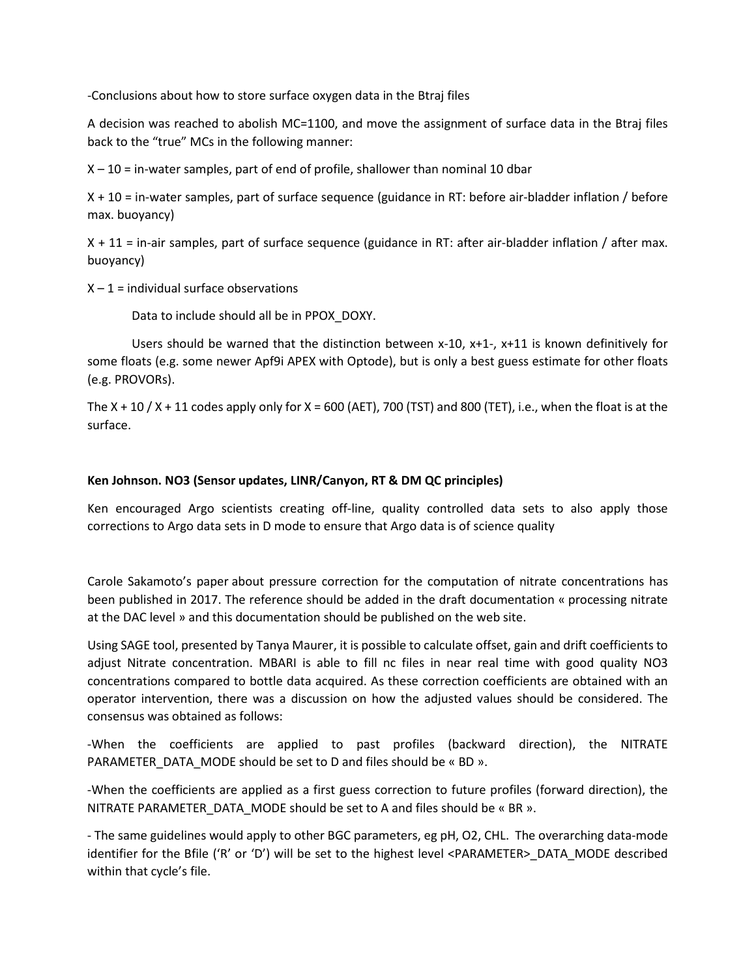-Conclusions about how to store surface oxygen data in the Btraj files

A decision was reached to abolish MC=1100, and move the assignment of surface data in the Btraj files back to the "true" MCs in the following manner:

 $X - 10 =$  in-water samples, part of end of profile, shallower than nominal 10 dbar

X + 10 = in-water samples, part of surface sequence (guidance in RT: before air-bladder inflation / before max. buoyancy)

X + 11 = in-air samples, part of surface sequence (guidance in RT: after air-bladder inflation / after max. buoyancy)

 $X - 1 =$  individual surface observations

Data to include should all be in PPOX\_DOXY.

Users should be warned that the distinction between x-10, x+1-, x+11 is known definitively for some floats (e.g. some newer Apf9i APEX with Optode), but is only a best guess estimate for other floats (e.g. PROVORs).

The X + 10  $/$  X + 11 codes apply only for X = 600 (AET), 700 (TST) and 800 (TET), i.e., when the float is at the surface.

### **Ken Johnson. NO3 (Sensor updates, LINR/Canyon, RT & DM QC principles)**

Ken encouraged Argo scientists creating off-line, quality controlled data sets to also apply those corrections to Argo data sets in D mode to ensure that Argo data is of science quality

Carole Sakamoto's paper about pressure correction for the computation of nitrate concentrations has been published in 2017. The reference should be added in the draft documentation « processing nitrate at the DAC level » and this documentation should be published on the web site.

Using SAGE tool, presented by Tanya Maurer, it is possible to calculate offset, gain and drift coefficients to adjust Nitrate concentration. MBARI is able to fill nc files in near real time with good quality NO3 concentrations compared to bottle data acquired. As these correction coefficients are obtained with an operator intervention, there was a discussion on how the adjusted values should be considered. The consensus was obtained as follows:

-When the coefficients are applied to past profiles (backward direction), the NITRATE PARAMETER\_DATA\_MODE should be set to D and files should be « BD ».

-When the coefficients are applied as a first guess correction to future profiles (forward direction), the NITRATE PARAMETER\_DATA\_MODE should be set to A and files should be « BR ».

- The same guidelines would apply to other BGC parameters, eg pH, O2, CHL. The overarching data-mode identifier for the Bfile ('R' or 'D') will be set to the highest level <PARAMETER> DATA\_MODE described within that cycle's file.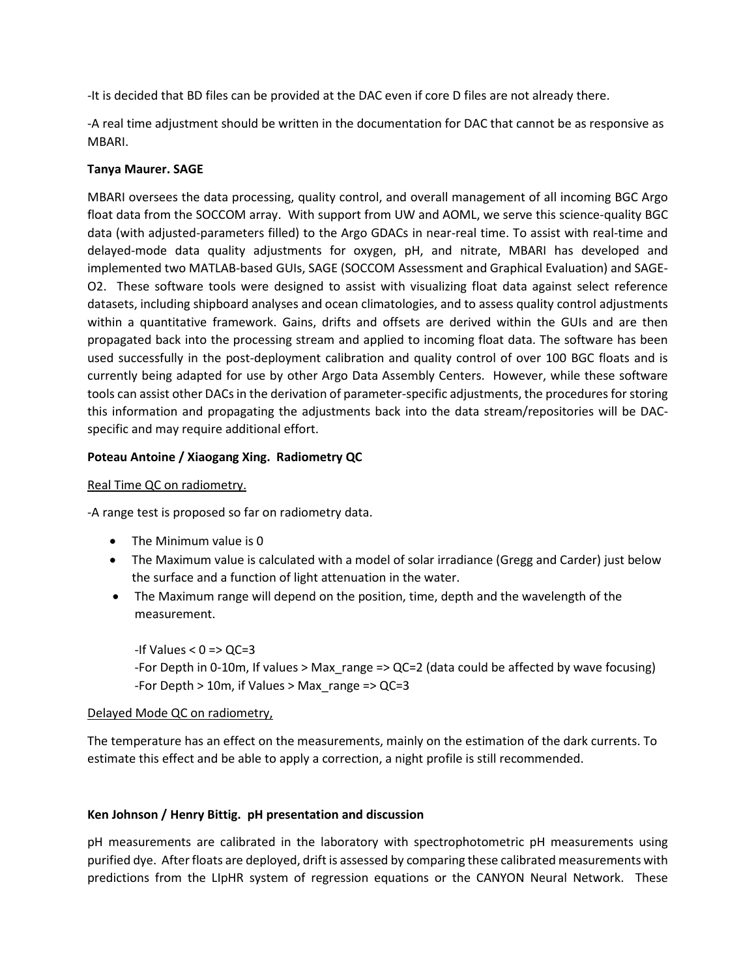-It is decided that BD files can be provided at the DAC even if core D files are not already there.

-A real time adjustment should be written in the documentation for DAC that cannot be as responsive as MBARI.

# **Tanya Maurer. SAGE**

MBARI oversees the data processing, quality control, and overall management of all incoming BGC Argo float data from the SOCCOM array. With support from UW and AOML, we serve this science-quality BGC data (with adjusted-parameters filled) to the Argo GDACs in near-real time. To assist with real-time and delayed-mode data quality adjustments for oxygen, pH, and nitrate, MBARI has developed and implemented two MATLAB-based GUIs, SAGE (SOCCOM Assessment and Graphical Evaluation) and SAGE-O2. These software tools were designed to assist with visualizing float data against select reference datasets, including shipboard analyses and ocean climatologies, and to assess quality control adjustments within a quantitative framework. Gains, drifts and offsets are derived within the GUIs and are then propagated back into the processing stream and applied to incoming float data. The software has been used successfully in the post-deployment calibration and quality control of over 100 BGC floats and is currently being adapted for use by other Argo Data Assembly Centers. However, while these software tools can assist other DACs in the derivation of parameter-specific adjustments, the procedures for storing this information and propagating the adjustments back into the data stream/repositories will be DACspecific and may require additional effort.

# **Poteau Antoine / Xiaogang Xing. Radiometry QC**

# Real Time QC on radiometry.

-A range test is proposed so far on radiometry data.

- The Minimum value is 0
- The Maximum value is calculated with a model of solar irradiance (Gregg and Carder) just below the surface and a function of light attenuation in the water.
- The Maximum range will depend on the position, time, depth and the wavelength of the measurement.

 $-If$  Values  $< 0$  => QC=3 -For Depth in 0-10m, If values > Max\_range => QC=2 (data could be affected by wave focusing) -For Depth > 10m, if Values > Max\_range => QC=3

### Delayed Mode QC on radiometry,

The temperature has an effect on the measurements, mainly on the estimation of the dark currents. To estimate this effect and be able to apply a correction, a night profile is still recommended.

# **Ken Johnson / Henry Bittig. pH presentation and discussion**

pH measurements are calibrated in the laboratory with spectrophotometric pH measurements using purified dye. After floats are deployed, drift is assessed by comparing these calibrated measurements with predictions from the LIpHR system of regression equations or the CANYON Neural Network. These